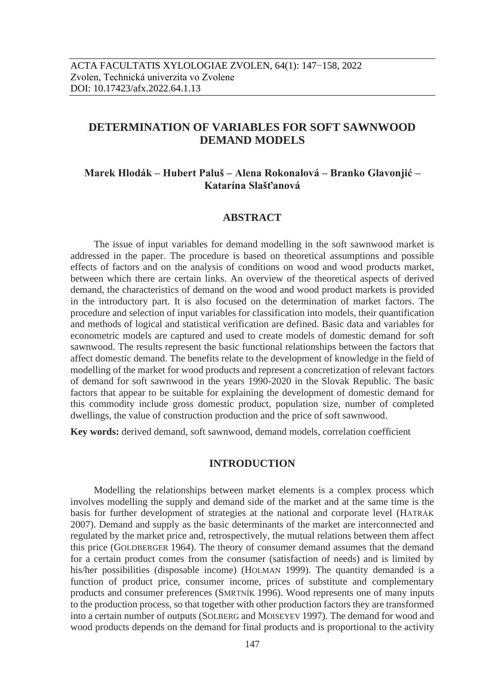# **DETERMINATION OF VARIABLES FOR SOFT SAWNWOOD DEMAND MODELS**

## **Marek Hlodák – Hubert Paluš – Alena Rokonalová – Branko Glavonjić – Katarína Slašťanová**

## **ABSTRACT**

The issue of input variables for demand modelling in the soft sawnwood market is addressed in the paper. The procedure is based on theoretical assumptions and possible effects of factors and on the analysis of conditions on wood and wood products market, between which there are certain links. An overview of the theoretical aspects of derived demand, the characteristics of demand on the wood and wood product markets is provided in the introductory part. It is also focused on the determination of market factors. The procedure and selection of input variables for classification into models, their quantification and methods of logical and statistical verification are defined. Basic data and variables for econometric models are captured and used to create models of domestic demand for soft sawnwood. The results represent the basic functional relationships between the factors that affect domestic demand. The benefits relate to the development of knowledge in the field of modelling of the market for wood products and represent a concretization of relevant factors of demand for soft sawnwood in the years 1990-2020 in the Slovak Republic. The basic factors that appear to be suitable for explaining the development of domestic demand for this commodity include gross domestic product, population size, number of completed dwellings, the value of construction production and the price of soft sawnwood.

**Key words:** derived demand, soft sawnwood, demand models, correlation coefficient

## **INTRODUCTION**

Modelling the relationships between market elements is a complex process which involves modelling the supply and demand side of the market and at the same time is the basis for further development of strategies at the national and corporate level (HATRÁK 2007). Demand and supply as the basic determinants of the market are interconnected and regulated by the market price and, retrospectively, the mutual relations between them affect this price (GOLDBERGER 1964). The theory of consumer demand assumes that the demand for a certain product comes from the consumer (satisfaction of needs) and is limited by his/her possibilities (disposable income) (HOLMAN 1999). The quantity demanded is a function of product price, consumer income, prices of substitute and complementary products and consumer preferences (SMRTNÍK 1996). Wood represents one of many inputs to the production process, so that together with other production factors they are transformed into a certain number of outputs (SOLBERG and MOISEYEV 1997). The demand for wood and wood products depends on the demand for final products and is proportional to the activity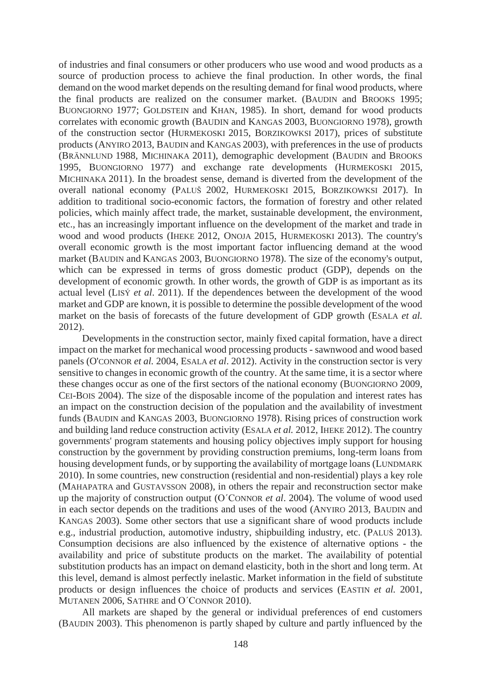of industries and final consumers or other producers who use wood and wood products as a source of production process to achieve the final production. In other words, the final demand on the wood market depends on the resulting demand for final wood products, where the final products are realized on the consumer market. (BAUDIN and BROOKS 1995; BUONGIORNO 1977; GOLDSTEIN and KHAN, 1985). In short, demand for wood products correlates with economic growth (BAUDIN and KANGAS 2003, BUONGIORNO 1978), growth of the construction sector (HURMEKOSKI 2015, BORZIKOWKSI 2017), prices of substitute products (ANYIRO 2013, BAUDIN and KANGAS 2003), with preferences in the use of products (BRÄNNLUND 1988, MICHINAKA 2011), demographic development (BAUDIN and BROOKS 1995, BUONGIORNO 1977) and exchange rate developments (HURMEKOSKI 2015, MICHINAKA 2011). In the broadest sense, demand is diverted from the development of the overall national economy (PALUŠ 2002, HURMEKOSKI 2015, BORZIKOWKSI 2017). In addition to traditional socio-economic factors, the formation of forestry and other related policies, which mainly affect trade, the market, sustainable development, the environment, etc., has an increasingly important influence on the development of the market and trade in wood and wood products (IHEKE 2012, ONOJA 2015, HURMEKOSKI 2013). The country's overall economic growth is the most important factor influencing demand at the wood market (BAUDIN and KANGAS 2003, BUONGIORNO 1978). The size of the economy's output, which can be expressed in terms of gross domestic product (GDP), depends on the development of economic growth. In other words, the growth of GDP is as important as its actual level (LISÝ *et al*. 2011). If the dependences between the development of the wood market and GDP are known, it is possible to determine the possible development of the wood market on the basis of forecasts of the future development of GDP growth (ESALA *et al.* 2012).

Developments in the construction sector, mainly fixed capital formation, have a direct impact on the market for mechanical wood processing products - sawnwood and wood based panels (O'CONNOR *et al.* 2004, ESALA *et al*. 2012). Activity in the construction sector is very sensitive to changes in economic growth of the country. At the same time, it is a sector where these changes occur as one of the first sectors of the national economy (BUONGIORNO 2009, CEI-BOIS 2004). The size of the disposable income of the population and interest rates has an impact on the construction decision of the population and the availability of investment funds (BAUDIN and KANGAS 2003, BUONGIORNO 1978). Rising prices of construction work and building land reduce construction activity (ESALA *et al.* 2012, IHEKE 2012). The country governments' program statements and housing policy objectives imply support for housing construction by the government by providing construction premiums, long-term loans from housing development funds, or by supporting the availability of mortgage loans (LUNDMARK 2010). In some countries, new construction (residential and non-residential) plays a key role (MAHAPATRA and GUSTAVSSON 2008), in others the repair and reconstruction sector make up the majority of construction output (O´CONNOR *et al*. 2004). The volume of wood used in each sector depends on the traditions and uses of the wood (ANYIRO 2013, BAUDIN and KANGAS 2003). Some other sectors that use a significant share of wood products include e.g., industrial production, automotive industry, shipbuilding industry, etc. (PALUŠ 2013). Consumption decisions are also influenced by the existence of alternative options - the availability and price of substitute products on the market. The availability of potential substitution products has an impact on demand elasticity, both in the short and long term. At this level, demand is almost perfectly inelastic. Market information in the field of substitute products or design influences the choice of products and services (EASTIN *et al.* 2001, MUTANEN 2006, SATHRE and O´CONNOR 2010).

All markets are shaped by the general or individual preferences of end customers (BAUDIN 2003). This phenomenon is partly shaped by culture and partly influenced by the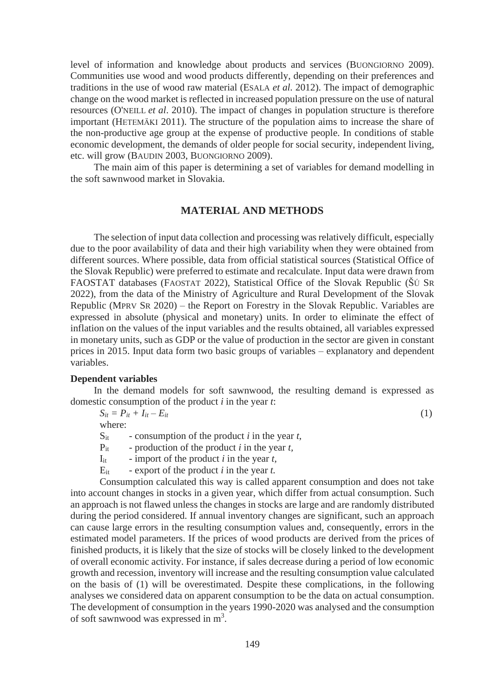level of information and knowledge about products and services (BUONGIORNO 2009). Communities use wood and wood products differently, depending on their preferences and traditions in the use of wood raw material (ESALA *et al.* 2012). The impact of demographic change on the wood market is reflected in increased population pressure on the use of natural resources (O'NEILL *et al*. 2010). The impact of changes in population structure is therefore important (HETEMÄKI 2011). The structure of the population aims to increase the share of the non-productive age group at the expense of productive people. In conditions of stable economic development, the demands of older people for social security, independent living, etc. will grow (BAUDIN 2003, BUONGIORNO 2009).

The main aim of this paper is determining a set of variables for demand modelling in the soft sawnwood market in Slovakia.

### **MATERIAL AND METHODS**

The selection of input data collection and processing was relatively difficult, especially due to the poor availability of data and their high variability when they were obtained from different sources. Where possible, data from official statistical sources (Statistical Office of the Slovak Republic) were preferred to estimate and recalculate. Input data were drawn from FAOSTAT databases (FAOSTAT 2022), Statistical Office of the Slovak Republic (ŠÚ SR 2022), from the data of the Ministry of Agriculture and Rural Development of the Slovak Republic (MPRV SR 2020) – the Report on Forestry in the Slovak Republic. Variables are expressed in absolute (physical and monetary) units. In order to eliminate the effect of inflation on the values of the input variables and the results obtained, all variables expressed in monetary units, such as GDP or the value of production in the sector are given in constant prices in 2015. Input data form two basic groups of variables – explanatory and dependent variables.

#### **Dependent variables**

In the demand models for soft sawnwood, the resulting demand is expressed as domestic consumption of the product *i* in the year *t*:

 $S_{it} = P_{it} + I_{it} - E_{it}$  (1)

where:

- $S_{it}$  consumption of the product *i* in the year *t*,
- Pit production of the product *i* in the year *t,*

 $I_{it}$  - import of the product *i* in the year *t*,

 $E_{it}$  - export of the product *i* in the year *t*.

Consumption calculated this way is called apparent consumption and does not take into account changes in stocks in a given year, which differ from actual consumption. Such an approach is not flawed unless the changes in stocks are large and are randomly distributed during the period considered. If annual inventory changes are significant, such an approach can cause large errors in the resulting consumption values and, consequently, errors in the estimated model parameters. If the prices of wood products are derived from the prices of finished products, it is likely that the size of stocks will be closely linked to the development of overall economic activity. For instance, if sales decrease during a period of low economic growth and recession, inventory will increase and the resulting consumption value calculated on the basis of (1) will be overestimated. Despite these complications, in the following analyses we considered data on apparent consumption to be the data on actual consumption. The development of consumption in the years 1990-2020 was analysed and the consumption of soft sawnwood was expressed in m<sup>3</sup>.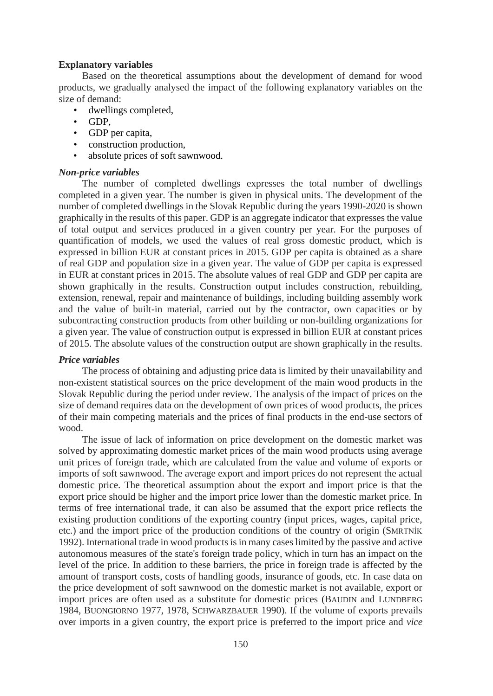#### **Explanatory variables**

Based on the theoretical assumptions about the development of demand for wood products, we gradually analysed the impact of the following explanatory variables on the size of demand:

- dwellings completed,
- GDP,
- GDP per capita,
- construction production,
- absolute prices of soft sawnwood.

#### *Non-price variables*

The number of completed dwellings expresses the total number of dwellings completed in a given year. The number is given in physical units. The development of the number of completed dwellings in the Slovak Republic during the years 1990-2020 is shown graphically in the results of this paper. GDP is an aggregate indicator that expresses the value of total output and services produced in a given country per year. For the purposes of quantification of models, we used the values of real gross domestic product, which is expressed in billion EUR at constant prices in 2015. GDP per capita is obtained as a share of real GDP and population size in a given year. The value of GDP per capita is expressed in EUR at constant prices in 2015. The absolute values of real GDP and GDP per capita are shown graphically in the results. Construction output includes construction, rebuilding, extension, renewal, repair and maintenance of buildings, including building assembly work and the value of built-in material, carried out by the contractor, own capacities or by subcontracting construction products from other building or non-building organizations for a given year. The value of construction output is expressed in billion EUR at constant prices of 2015. The absolute values of the construction output are shown graphically in the results.

#### *Price variables*

The process of obtaining and adjusting price data is limited by their unavailability and non-existent statistical sources on the price development of the main wood products in the Slovak Republic during the period under review. The analysis of the impact of prices on the size of demand requires data on the development of own prices of wood products, the prices of their main competing materials and the prices of final products in the end-use sectors of wood.

The issue of lack of information on price development on the domestic market was solved by approximating domestic market prices of the main wood products using average unit prices of foreign trade, which are calculated from the value and volume of exports or imports of soft sawnwood. The average export and import prices do not represent the actual domestic price. The theoretical assumption about the export and import price is that the export price should be higher and the import price lower than the domestic market price. In terms of free international trade, it can also be assumed that the export price reflects the existing production conditions of the exporting country (input prices, wages, capital price, etc.) and the import price of the production conditions of the country of origin (SMRTNÍK 1992). International trade in wood products is in many cases limited by the passive and active autonomous measures of the state's foreign trade policy, which in turn has an impact on the level of the price. In addition to these barriers, the price in foreign trade is affected by the amount of transport costs, costs of handling goods, insurance of goods, etc. In case data on the price development of soft sawnwood on the domestic market is not available, export or import prices are often used as a substitute for domestic prices (BAUDIN and LUNDBERG 1984, BUONGIORNO 1977, 1978, SCHWARZBAUER 1990). If the volume of exports prevails over imports in a given country, the export price is preferred to the import price and *vice*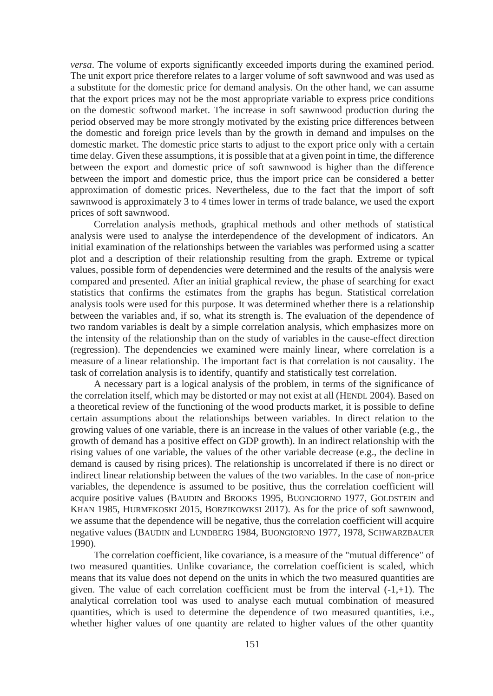*versa*. The volume of exports significantly exceeded imports during the examined period. The unit export price therefore relates to a larger volume of soft sawnwood and was used as a substitute for the domestic price for demand analysis. On the other hand, we can assume that the export prices may not be the most appropriate variable to express price conditions on the domestic softwood market. The increase in soft sawnwood production during the period observed may be more strongly motivated by the existing price differences between the domestic and foreign price levels than by the growth in demand and impulses on the domestic market. The domestic price starts to adjust to the export price only with a certain time delay. Given these assumptions, it is possible that at a given point in time, the difference between the export and domestic price of soft sawnwood is higher than the difference between the import and domestic price, thus the import price can be considered a better approximation of domestic prices. Nevertheless, due to the fact that the import of soft sawnwood is approximately 3 to 4 times lower in terms of trade balance, we used the export prices of soft sawnwood.

Correlation analysis methods, graphical methods and other methods of statistical analysis were used to analyse the interdependence of the development of indicators. An initial examination of the relationships between the variables was performed using a scatter plot and a description of their relationship resulting from the graph. Extreme or typical values, possible form of dependencies were determined and the results of the analysis were compared and presented. After an initial graphical review, the phase of searching for exact statistics that confirms the estimates from the graphs has begun. Statistical correlation analysis tools were used for this purpose. It was determined whether there is a relationship between the variables and, if so, what its strength is. The evaluation of the dependence of two random variables is dealt by a simple correlation analysis, which emphasizes more on the intensity of the relationship than on the study of variables in the cause-effect direction (regression). The dependencies we examined were mainly linear, where correlation is a measure of a linear relationship. The important fact is that correlation is not causality. The task of correlation analysis is to identify, quantify and statistically test correlation.

A necessary part is a logical analysis of the problem, in terms of the significance of the correlation itself, which may be distorted or may not exist at all (HENDL 2004). Based on a theoretical review of the functioning of the wood products market, it is possible to define certain assumptions about the relationships between variables. In direct relation to the growing values of one variable, there is an increase in the values of other variable (e.g., the growth of demand has a positive effect on GDP growth). In an indirect relationship with the rising values of one variable, the values of the other variable decrease (e.g., the decline in demand is caused by rising prices). The relationship is uncorrelated if there is no direct or indirect linear relationship between the values of the two variables. In the case of non-price variables, the dependence is assumed to be positive, thus the correlation coefficient will acquire positive values (BAUDIN and BROOKS 1995, BUONGIORNO 1977, GOLDSTEIN and KHAN 1985, HURMEKOSKI 2015, BORZIKOWKSI 2017). As for the price of soft sawnwood, we assume that the dependence will be negative, thus the correlation coefficient will acquire negative values (BAUDIN and LUNDBERG 1984, BUONGIORNO 1977, 1978, SCHWARZBAUER 1990).

The correlation coefficient, like covariance, is a measure of the "mutual difference" of two measured quantities. Unlike covariance, the correlation coefficient is scaled, which means that its value does not depend on the units in which the two measured quantities are given. The value of each correlation coefficient must be from the interval  $(-1, +1)$ . The analytical correlation tool was used to analyse each mutual combination of measured quantities, which is used to determine the dependence of two measured quantities, i.e., whether higher values of one quantity are related to higher values of the other quantity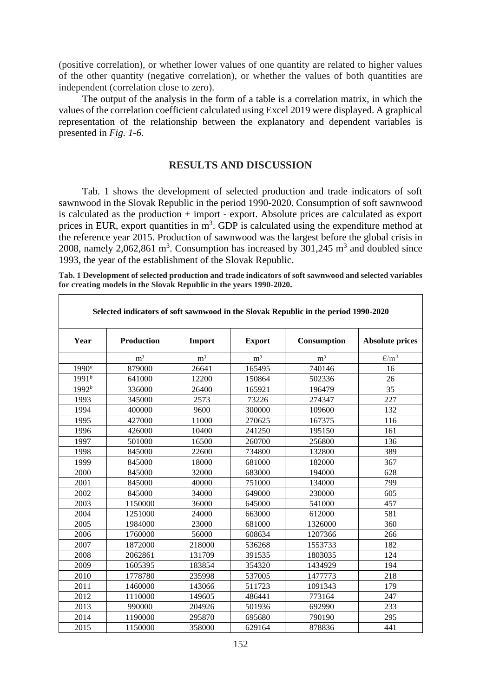(positive correlation), or whether lower values of one quantity are related to higher values of the other quantity (negative correlation), or whether the values of both quantities are independent (correlation close to zero).

The output of the analysis in the form of a table is a correlation matrix, in which the values of the correlation coefficient calculated using Excel 2019 were displayed. A graphical representation of the relationship between the explanatory and dependent variables is presented in *Fig. 1-6*.

#### **RESULTS AND DISCUSSION**

Tab. 1 shows the development of selected production and trade indicators of soft sawnwood in the Slovak Republic in the period 1990-2020. Consumption of soft sawnwood is calculated as the production + import - export. Absolute prices are calculated as export prices in EUR, export quantities in  $m<sup>3</sup>$ . GDP is calculated using the expenditure method at the reference year 2015. Production of sawnwood was the largest before the global crisis in 2008, namely 2,062,861 m<sup>3</sup>. Consumption has increased by  $301,245$  m<sup>3</sup> and doubled since 1993, the year of the establishment of the Slovak Republic.

| Tab. 1 Development of selected production and trade indicators of soft sawnwood and selected variables |  |
|--------------------------------------------------------------------------------------------------------|--|
| for creating models in the Slovak Republic in the years 1990-2020.                                     |  |

|            | Selected indicators of soft sawnwood in the Slovak Republic in the period 1990-2020 |                |                |                |                        |  |  |  |
|------------|-------------------------------------------------------------------------------------|----------------|----------------|----------------|------------------------|--|--|--|
| Year       | <b>Production</b>                                                                   | Import         | <b>Export</b>  | Consumption    | <b>Absolute prices</b> |  |  |  |
|            | m <sup>3</sup>                                                                      | m <sup>3</sup> | m <sup>3</sup> | m <sup>3</sup> | $\epsilon/m^3$         |  |  |  |
| $1990^a$   | 879000                                                                              | 26641          | 165495         | 740146         | 16                     |  |  |  |
| $1991^{b}$ | 641000                                                                              | 12200          | 150864         | 502336         | 26                     |  |  |  |
| $1992^b$   | 336000                                                                              | 26400          | 165921         | 196479         | 35                     |  |  |  |
| 1993       | 345000                                                                              | 2573           | 73226          | 274347         | 227                    |  |  |  |
| 1994       | 400000                                                                              | 9600           | 300000         | 109600         | 132                    |  |  |  |
| 1995       | 427000                                                                              | 11000          | 270625         | 167375         | 116                    |  |  |  |
| 1996       | 426000                                                                              | 10400          | 241250         | 195150         | 161                    |  |  |  |
| 1997       | 501000                                                                              | 16500          | 260700         | 256800         | 136                    |  |  |  |
| 1998       | 845000                                                                              | 22600          | 734800         | 132800         | 389                    |  |  |  |
| 1999       | 845000                                                                              | 18000          | 681000         | 182000         | 367                    |  |  |  |
| 2000       | 845000                                                                              | 32000          | 683000         | 194000         | 628                    |  |  |  |
| 2001       | 845000                                                                              | 40000          | 751000         | 134000         | 799                    |  |  |  |
| 2002       | 845000                                                                              | 34000          | 649000         | 230000         | 605                    |  |  |  |
| 2003       | 1150000                                                                             | 36000          | 645000         | 541000         | 457                    |  |  |  |
| 2004       | 1251000                                                                             | 24000          | 663000         | 612000         | 581                    |  |  |  |
| 2005       | 1984000                                                                             | 23000          | 681000         | 1326000        | 360                    |  |  |  |
| 2006       | 1760000                                                                             | 56000          | 608634         | 1207366        | 266                    |  |  |  |
| 2007       | 1872000                                                                             | 218000         | 536268         | 1553733        | 182                    |  |  |  |
| 2008       | 2062861                                                                             | 131709         | 391535         | 1803035        | 124                    |  |  |  |
| 2009       | 1605395                                                                             | 183854         | 354320         | 1434929        | 194                    |  |  |  |
| 2010       | 1778780                                                                             | 235998         | 537005         | 1477773        | 218                    |  |  |  |
| 2011       | 1460000                                                                             | 143066         | 511723         | 1091343        | 179                    |  |  |  |
| 2012       | 1110000                                                                             | 149605         | 486441         | 773164         | 247                    |  |  |  |
| 2013       | 990000                                                                              | 204926         | 501936         | 692990         | 233                    |  |  |  |
| 2014       | 1190000                                                                             | 295870         | 695680         | 790190         | 295                    |  |  |  |
| 2015       | 1150000                                                                             | 358000         | 629164         | 878836         | 441                    |  |  |  |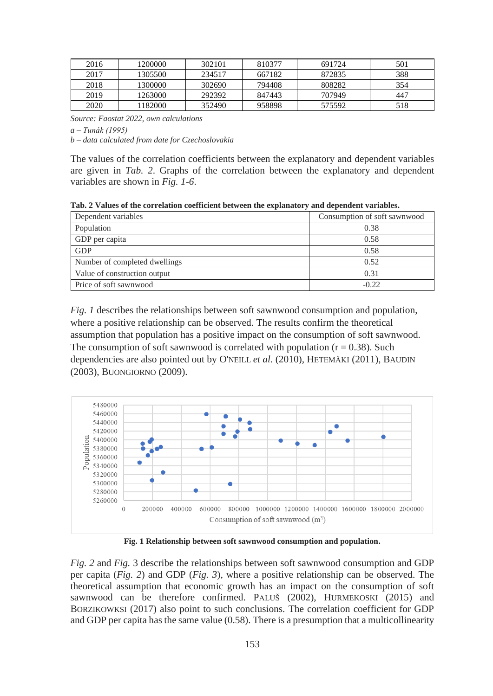| 2016 | 1200000 | 302101 | 810377 | 691724 | 501 |
|------|---------|--------|--------|--------|-----|
| 2017 | 1305500 | 234517 | 667182 | 872835 | 388 |
| 2018 | 1300000 | 302690 | 794408 | 808282 | 354 |
| 2019 | 1263000 | 292392 | 847443 | 707949 | 447 |
| 2020 | 182000  | 352490 | 958898 | 575592 | 518 |

*Source: Faostat 2022, own calculations*

*a – Tunák (1995)*

*b – data calculated from date for Czechoslovakia*

The values of the correlation coefficients between the explanatory and dependent variables are given in *Tab. 2*. Graphs of the correlation between the explanatory and dependent variables are shown in *Fig. 1-6*.

**Tab. 2 Values of the correlation coefficient between the explanatory and dependent variables.**

| Dependent variables           | Consumption of soft sawnwood |
|-------------------------------|------------------------------|
| Population                    | 0.38                         |
| GDP per capita                | 0.58                         |
| <b>GDP</b>                    | 0.58                         |
| Number of completed dwellings | 0.52                         |
| Value of construction output  | 0.31                         |
| Price of soft sawnwood        | $-0.22$                      |

*Fig. 1* describes the relationships between soft sawnwood consumption and population, where a positive relationship can be observed. The results confirm the theoretical assumption that population has a positive impact on the consumption of soft sawnwood. The consumption of soft sawnwood is correlated with population  $(r = 0.38)$ . Such dependencies are also pointed out by O'NEILL *et al.* (2010), HETEMÄKI (2011), BAUDIN (2003), BUONGIORNO (2009).



**Fig. 1 Relationship between soft sawnwood consumption and population.**

*Fig. 2* and *Fig.* 3 describe the relationships between soft sawnwood consumption and GDP per capita (*Fig. 2*) and GDP (*Fig. 3*), where a positive relationship can be observed. The theoretical assumption that economic growth has an impact on the consumption of soft sawnwood can be therefore confirmed. PALUŠ (2002), HURMEKOSKI (2015) and BORZIKOWKSI (2017) also point to such conclusions. The correlation coefficient for GDP and GDP per capita has the same value (0.58). There is a presumption that a multicollinearity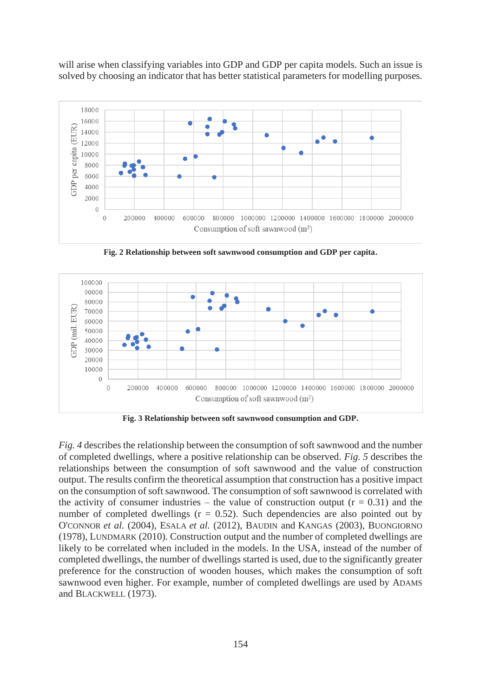will arise when classifying variables into GDP and GDP per capita models. Such an issue is solved by choosing an indicator that has better statistical parameters for modelling purposes*.*



**Fig. 2 Relationship between soft sawnwood consumption and GDP per capita.**



**Fig. 3 Relationship between soft sawnwood consumption and GDP.**

*Fig. 4* describes the relationship between the consumption of soft sawnwood and the number of completed dwellings, where a positive relationship can be observed. *Fig. 5* describes the relationships between the consumption of soft sawnwood and the value of construction output. The results confirm the theoretical assumption that construction has a positive impact on the consumption of soft sawnwood. The consumption of soft sawnwood is correlated with the activity of consumer industries – the value of construction output  $(r = 0.31)$  and the number of completed dwellings  $(r = 0.52)$ . Such dependencies are also pointed out by O'CONNOR *et al.* (2004), ESALA *et al.* (2012), BAUDIN and KANGAS (2003), BUONGIORNO (1978), LUNDMARK (2010). Construction output and the number of completed dwellings are likely to be correlated when included in the models. In the USA, instead of the number of completed dwellings, the number of dwellings started is used, due to the significantly greater preference for the construction of wooden houses, which makes the consumption of soft sawnwood even higher. For example, number of completed dwellings are used by ADAMS and BLACKWELL (1973).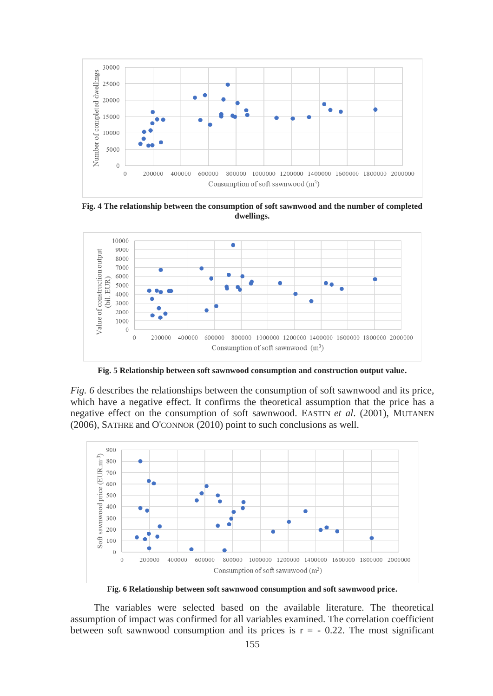

**Fig. 4 The relationship between the consumption of soft sawnwood and the number of completed dwellings.**



**Fig. 5 Relationship between soft sawnwood consumption and construction output value.**

*Fig. 6* describes the relationships between the consumption of soft sawnwood and its price, which have a negative effect. It confirms the theoretical assumption that the price has a negative effect on the consumption of soft sawnwood. EASTIN *et al*. (2001), MUTANEN (2006), SATHRE and O'CONNOR (2010) point to such conclusions as well.



**Fig. 6 Relationship between soft sawnwood consumption and soft sawnwood price.**

The variables were selected based on the available literature. The theoretical assumption of impact was confirmed for all variables examined. The correlation coefficient between soft sawnwood consumption and its prices is  $r = -0.22$ . The most significant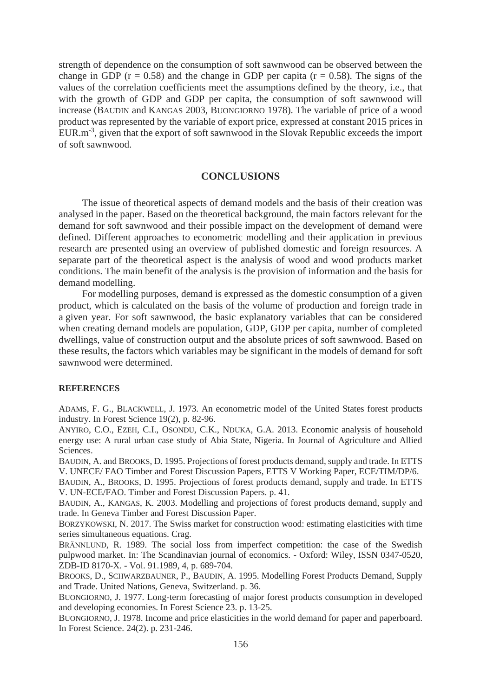strength of dependence on the consumption of soft sawnwood can be observed between the change in GDP ( $r = 0.58$ ) and the change in GDP per capita ( $r = 0.58$ ). The signs of the values of the correlation coefficients meet the assumptions defined by the theory, i.e., that with the growth of GDP and GDP per capita, the consumption of soft sawnwood will increase (BAUDIN and KANGAS 2003, BUONGIORNO 1978). The variable of price of a wood product was represented by the variable of export price, expressed at constant 2015 prices in EUR.m-3 , given that the export of soft sawnwood in the Slovak Republic exceeds the import of soft sawnwood.

## **CONCLUSIONS**

The issue of theoretical aspects of demand models and the basis of their creation was analysed in the paper. Based on the theoretical background, the main factors relevant for the demand for soft sawnwood and their possible impact on the development of demand were defined. Different approaches to econometric modelling and their application in previous research are presented using an overview of published domestic and foreign resources. A separate part of the theoretical aspect is the analysis of wood and wood products market conditions. The main benefit of the analysis is the provision of information and the basis for demand modelling.

For modelling purposes, demand is expressed as the domestic consumption of a given product, which is calculated on the basis of the volume of production and foreign trade in a given year. For soft sawnwood, the basic explanatory variables that can be considered when creating demand models are population, GDP, GDP per capita, number of completed dwellings, value of construction output and the absolute prices of soft sawnwood. Based on these results, the factors which variables may be significant in the models of demand for soft sawnwood were determined.

#### **REFERENCES**

ADAMS, F. G., BLACKWELL, J. 1973. An econometric model of the United States forest products industry. In Forest Science 19(2), p. 82-96.

ANYIRO, C.O., EZEH, C.I., OSONDU, C.K., NDUKA, G.A. 2013. Economic analysis of household energy use: A rural urban case study of Abia State, Nigeria. In Journal of Agriculture and Allied Sciences.

BAUDIN, A. and BROOKS, D. 1995. Projections of forest products demand, supply and trade. In ETTS V. UNECE/ FAO Timber and Forest Discussion Papers, ETTS V Working Paper, ECE/TIM/DP/6.

BAUDIN, A., BROOKS, D. 1995. Projections of forest products demand, supply and trade. In ETTS V. UN-ECE/FAO. Timber and Forest Discussion Papers. p. 41.

BAUDIN, A., KANGAS, K. 2003. Modelling and projections of forest products demand, supply and trade. In Geneva Timber and Forest Discussion Paper.

BORZYKOWSKI, N. 2017. The Swiss market for construction wood: estimating elasticities with time series simultaneous equations. Crag.

BRÄNNLUND, R. 1989. The social loss from imperfect competition: the case of the Swedish pulpwood market. In: The Scandinavian journal of economics. - Oxford: Wiley, ISSN 0347-0520, ZDB-ID 8170-X. - Vol. 91.1989, 4, p. 689-704.

BROOKS, D., SCHWARZBAUNER, P., BAUDIN, A. 1995. Modelling Forest Products Demand, Supply and Trade. United Nations, Geneva, Switzerland. p. 36.

BUONGIORNO, J. 1977. Long-term forecasting of major forest products consumption in developed and developing economies. In Forest Science 23. p. 13-25.

BUONGIORNO, J. 1978. Income and price elasticities in the world demand for paper and paperboard. In Forest Science. 24(2). p. 231-246.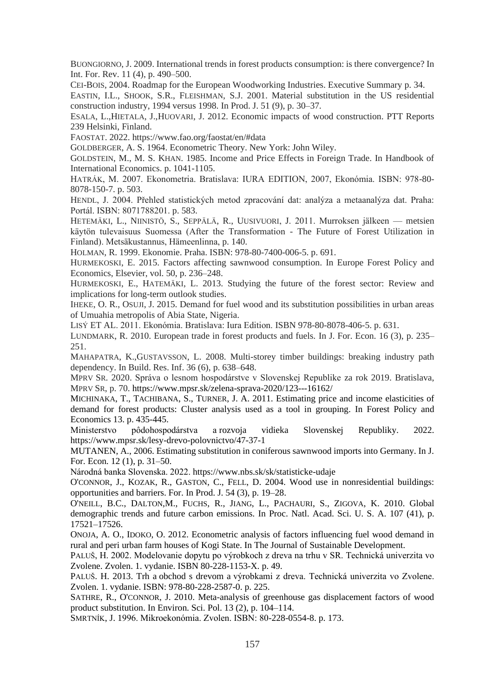BUONGIORNO, J. 2009. International trends in forest products consumption: is there convergence? In Int. For. Rev. 11 (4), p. 490–500.

CEI-BOIS, 2004. Roadmap for the European Woodworking Industries. Executive Summary p. 34.

EASTIN, I.L., SHOOK, S.R., FLEISHMAN, S.J. 2001. Material substitution in the US residential construction industry, 1994 versus 1998. In Prod. J. 51 (9), p. 30–37.

ESALA, L.,HIETALA, J.,HUOVARI, J. 2012. Economic impacts of wood construction. PTT Reports 239 Helsinki, Finland.

FAOSTAT. 2022. https://www.fao.org/faostat/en/#data

GOLDBERGER, A. S. 1964. Econometric Theory. New York: John Wiley.

GOLDSTEIN, M., M. S. KHAN. 1985. Income and Price Effects in Foreign Trade. In Handbook of International Economics. p. 1041-1105.

HATRÁK, M. 2007. Ekonometria. Bratislava: IURA EDITION, 2007, Ekonómia. ISBN: 978-80- 8078-150-7. p. 503.

HENDL, J. 2004. Přehled statistických metod zpracování dat: analýza a metaanalýza dat. Praha: Portál. ISBN: 8071788201. p. 583.

HETEMÄKI, L., NIINISTÖ, S., SEPPÄLÄ, R., UUSIVUORI, J. 2011. Murroksen jälkeen — metsien käytön tulevaisuus Suomessa (After the Transformation - The Future of Forest Utilization in Finland). Metsäkustannus, Hämeenlinna, p. 140.

HOLMAN, R. 1999. Ekonomie. Praha. ISBN: 978-80-7400-006-5. p. 691.

HURMEKOSKI, E. 2015. Factors affecting sawnwood consumption. In Europe Forest Policy and Economics, Elsevier, vol. 50, p. 236–248.

HURMEKOSKI, E., HATEMÄKI, L. 2013. Studying the future of the forest sector: Review and implications for long-term outlook studies.

IHEKE, O. R., OSUJI, J. 2015. Demand for fuel wood and its substitution possibilities in urban areas of Umuahia metropolis of Abia State, Nigeria.

LISÝ ET AL. 2011. Ekonómia. Bratislava: Iura Edition. ISBN 978-80-8078-406-5. p. 631.

LUNDMARK, R. 2010. European trade in forest products and fuels. In J. For. Econ. 16 (3), p. 235– 251.

MAHAPATRA, K.,GUSTAVSSON, L. 2008. Multi-storey timber buildings: breaking industry path dependency. In Build. Res. Inf. 36 (6), p. 638–648.

MPRV SR. 2020. Správa o lesnom hospodárstve v Slovenskej Republike za rok 2019. Bratislava, MPRV SR, p. 70[. https://www.mpsr.sk/zelena-sprava-2020/123---16162/](https://www.mpsr.sk/zelena-sprava-2020/123---16162/)

MICHINAKA, T., TACHIBANA, S., TURNER, J. A. 2011. Estimating price and income elasticities of demand for forest products: Cluster analysis used as a tool in grouping. In Forest Policy and Economics 13. p. 435-445.

Ministerstvo pôdohospodárstva a rozvoja vidieka Slovenskej Republiky. 2022. https://www.mpsr.sk/lesy-drevo-polovnictvo/47-37-1

MUTANEN, A., 2006. Estimating substitution in coniferous sawnwood imports into Germany. In J. For. Econ. 12 (1), p. 31–50.

Národná banka Slovenska. 2022.<https://www.nbs.sk/sk/statisticke-udaje>

O'CONNOR, J., KOZAK, R., GASTON, C., FELL, D. 2004. Wood use in nonresidential buildings: opportunities and barriers. For. In Prod. J. 54 (3), p. 19–28.

O'NEILL, B.C., DALTON,M., FUCHS, R., JIANG, L., PACHAURI, S., ZIGOVA, K. 2010. Global demographic trends and future carbon emissions. In Proc. Natl. Acad. Sci. U. S. A. 107 (41), p. 17521–17526.

ONOJA, A. O., IDOKO, O. 2012. Econometric analysis of factors influencing fuel wood demand in rural and peri urban farm houses of Kogi State. In The Journal of Sustainable Development.

PALUŠ, H. 2002. Modelovanie dopytu po výrobkoch z dreva na trhu v SR. Technická univerzita vo Zvolene. Zvolen. 1. vydanie. ISBN 80-228-1153-X. p. 49.

PALUŠ. H. 2013. Trh a obchod s drevom a výrobkami z dreva. Technická univerzita vo Zvolene. Zvolen. 1. vydanie. ISBN: 978-80-228-2587-0. p. 225.

SATHRE, R., O'CONNOR, J. 2010. Meta-analysis of greenhouse gas displacement factors of wood product substitution. In Environ. Sci. Pol. 13 (2), p. 104–114.

SMRTNÍK, J. 1996. Mikroekonómia. Zvolen. ISBN: 80-228-0554-8. p. 173.